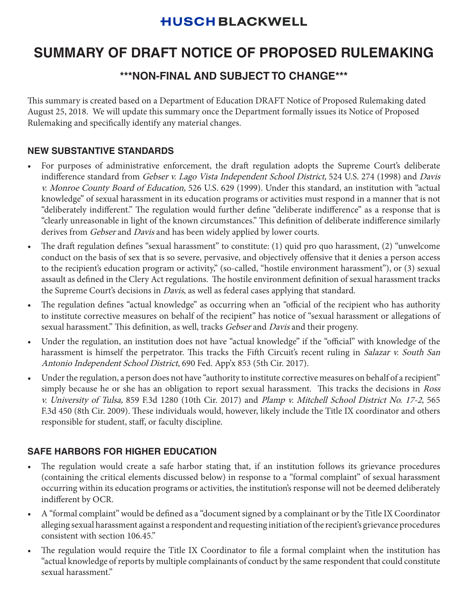## **HUSCH BLACKWELL**

# **SUMMARY OF DRAFT NOTICE OF PROPOSED RULEMAKING**

## **\*\*\*NON-FINAL AND SUBJECT TO CHANGE\*\*\***

This summary is created based on a Department of Education DRAFT Notice of Proposed Rulemaking dated August 25, 2018. We will update this summary once the Department formally issues its Notice of Proposed Rulemaking and specifically identify any material changes.

## **NEW SUBSTANTIVE STANDARDS**

- For purposes of administrative enforcement, the draft regulation adopts the Supreme Court's deliberate indifference standard from Gebser v. Lago Vista Independent School District, 524 U.S. 274 (1998) and Davis v. Monroe County Board of Education, 526 U.S. 629 (1999). Under this standard, an institution with "actual knowledge" of sexual harassment in its education programs or activities must respond in a manner that is not "deliberately indifferent." The regulation would further define "deliberate indifference" as a response that is "clearly unreasonable in light of the known circumstances." This definition of deliberate indifference similarly derives from Gebser and Davis and has been widely applied by lower courts.
- The draft regulation defines "sexual harassment" to constitute: (1) quid pro quo harassment, (2) "unwelcome conduct on the basis of sex that is so severe, pervasive, and objectively offensive that it denies a person access to the recipient's education program or activity," (so-called, "hostile environment harassment"), or (3) sexual assault as defined in the Clery Act regulations. The hostile environment definition of sexual harassment tracks the Supreme Court's decisions in *Davis*, as well as federal cases applying that standard.
- The regulation defines "actual knowledge" as occurring when an "official of the recipient who has authority to institute corrective measures on behalf of the recipient" has notice of "sexual harassment or allegations of sexual harassment." This definition, as well, tracks *Gebser* and *Davis* and their progeny.
- Under the regulation, an institution does not have "actual knowledge" if the "official" with knowledge of the harassment is himself the perpetrator. This tracks the Fifth Circuit's recent ruling in Salazar v. South San Antonio Independent School District, 690 Fed. App'x 853 (5th Cir. 2017).
- Under the regulation, a person does not have "authority to institute corrective measures on behalf of a recipient" simply because he or she has an obligation to report sexual harassment. This tracks the decisions in *Ross* v. University of Tulsa, 859 F.3d 1280 (10th Cir. 2017) and Plamp v. Mitchell School District No. 17-2, 565 F.3d 450 (8th Cir. 2009). These individuals would, however, likely include the Title IX coordinator and others responsible for student, staff, or faculty discipline.

## **SAFE HARBORS FOR HIGHER EDUCATION**

- The regulation would create a safe harbor stating that, if an institution follows its grievance procedures (containing the critical elements discussed below) in response to a "formal complaint" of sexual harassment occurring within its education programs or activities, the institution's response will not be deemed deliberately indifferent by OCR.
- A "formal complaint" would be defined as a "document signed by a complainant or by the Title IX Coordinator alleging sexual harassment against a respondent and requesting initiation of the recipient's grievance procedures consistent with section 106.45."
- The regulation would require the Title IX Coordinator to file a formal complaint when the institution has "actual knowledge of reports by multiple complainants of conduct by the same respondent that could constitute sexual harassment."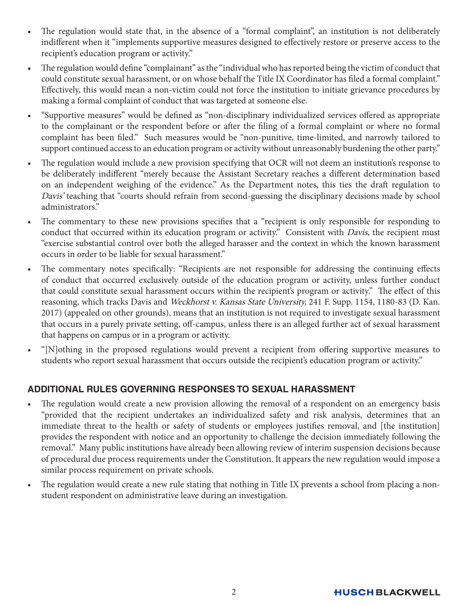- The regulation would state that, in the absence of a "formal complaint", an institution is not deliberately indifferent when it "implements supportive measures designed to effectively restore or preserve access to the recipient's education program or activity."
- The regulation would define "complainant" as the "individual who has reported being the victim of conduct that could constitute sexual harassment, or on whose behalf the Title IX Coordinator has filed a formal complaint." Effectively, this would mean a non-victim could not force the institution to initiate grievance procedures by making a formal complaint of conduct that was targeted at someone else.
- "Supportive measures" would be defined as "non-disciplinary individualized services offered as appropriate to the complainant or the respondent before or after the filing of a formal complaint or where no formal complaint has been filed." Such measures would be "non-punitive, time-limited, and narrowly tailored to support continued access to an education program or activity without unreasonably burdening the other party."
- The regulation would include a new provision specifying that OCR will not deem an institution's response to be deliberately indifferent "merely because the Assistant Secretary reaches a different determination based on an independent weighing of the evidence." As the Department notes, this ties the draft regulation to Davis' teaching that "courts should refrain from second-guessing the disciplinary decisions made by school administrators."
- The commentary to these new provisions specifies that a "recipient is only responsible for responding to conduct that occurred within its education program or activity." Consistent with *Davis*, the recipient must "exercise substantial control over both the alleged harasser and the context in which the known harassment occurs in order to be liable for sexual harassment."
- The commentary notes specifically: "Recipients are not responsible for addressing the continuing effects of conduct that occurred exclusively outside of the education program or activity, unless further conduct that could constitute sexual harassment occurs within the recipient's program or activity." The effect of this reasoning, which tracks Davis and Weckhorst v. Kansas State University, 241 F. Supp. 1154, 1180-83 (D. Kan. 2017) (appealed on other grounds), means that an institution is not required to investigate sexual harassment that occurs in a purely private setting, off-campus, unless there is an alleged further act of sexual harassment that happens on campus or in a program or activity.
- "[N]othing in the proposed regulations would prevent a recipient from offering supportive measures to students who report sexual harassment that occurs outside the recipient's education program or activity."

## **ADDITIONAL RULES GOVERNING RESPONSES TO SEXUAL HARASSMENT**

- The regulation would create a new provision allowing the removal of a respondent on an emergency basis "provided that the recipient undertakes an individualized safety and risk analysis, determines that an immediate threat to the health or safety of students or employees justifies removal, and [the institution] provides the respondent with notice and an opportunity to challenge the decision immediately following the removal." Many public institutions have already been allowing review of interim suspension decisions because of procedural due process requirements under the Constitution. It appears the new regulation would impose a similar process requirement on private schools.
- The regulation would create a new rule stating that nothing in Title IX prevents a school from placing a nonstudent respondent on administrative leave during an investigation.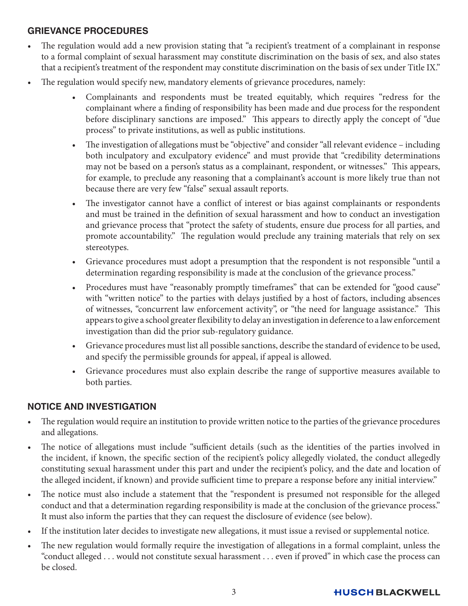#### **GRIEVANCE PROCEDURES**

- The regulation would add a new provision stating that "a recipient's treatment of a complainant in response to a formal complaint of sexual harassment may constitute discrimination on the basis of sex, and also states that a recipient's treatment of the respondent may constitute discrimination on the basis of sex under Title IX."
- The regulation would specify new, mandatory elements of grievance procedures, namely:
	- Complainants and respondents must be treated equitably, which requires "redress for the complainant where a finding of responsibility has been made and due process for the respondent before disciplinary sanctions are imposed." This appears to directly apply the concept of "due process" to private institutions, as well as public institutions.
	- The investigation of allegations must be "objective" and consider "all relevant evidence including both inculpatory and exculpatory evidence" and must provide that "credibility determinations may not be based on a person's status as a complainant, respondent, or witnesses." This appears, for example, to preclude any reasoning that a complainant's account is more likely true than not because there are very few "false" sexual assault reports.
	- The investigator cannot have a conflict of interest or bias against complainants or respondents and must be trained in the definition of sexual harassment and how to conduct an investigation and grievance process that "protect the safety of students, ensure due process for all parties, and promote accountability." The regulation would preclude any training materials that rely on sex stereotypes.
	- Grievance procedures must adopt a presumption that the respondent is not responsible "until a determination regarding responsibility is made at the conclusion of the grievance process."
	- Procedures must have "reasonably promptly timeframes" that can be extended for "good cause" with "written notice" to the parties with delays justified by a host of factors, including absences of witnesses, "concurrent law enforcement activity", or "the need for language assistance." This appears to give a school greater flexibility to delay an investigation in deference to a law enforcement investigation than did the prior sub-regulatory guidance.
	- Grievance procedures must list all possible sanctions, describe the standard of evidence to be used, and specify the permissible grounds for appeal, if appeal is allowed.
	- Grievance procedures must also explain describe the range of supportive measures available to both parties.

#### **NOTICE AND INVESTIGATION**

- The regulation would require an institution to provide written notice to the parties of the grievance procedures and allegations.
- The notice of allegations must include "sufficient details (such as the identities of the parties involved in the incident, if known, the specific section of the recipient's policy allegedly violated, the conduct allegedly constituting sexual harassment under this part and under the recipient's policy, and the date and location of the alleged incident, if known) and provide sufficient time to prepare a response before any initial interview."
- The notice must also include a statement that the "respondent is presumed not responsible for the alleged conduct and that a determination regarding responsibility is made at the conclusion of the grievance process." It must also inform the parties that they can request the disclosure of evidence (see below).
- If the institution later decides to investigate new allegations, it must issue a revised or supplemental notice.
- The new regulation would formally require the investigation of allegations in a formal complaint, unless the "conduct alleged . . . would not constitute sexual harassment . . . even if proved" in which case the process can be closed.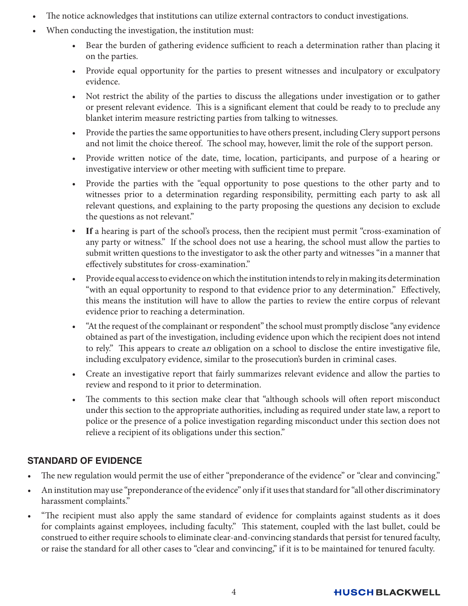- The notice acknowledges that institutions can utilize external contractors to conduct investigations.
- When conducting the investigation, the institution must:
	- Bear the burden of gathering evidence sufficient to reach a determination rather than placing it on the parties.
	- Provide equal opportunity for the parties to present witnesses and inculpatory or exculpatory evidence.
	- Not restrict the ability of the parties to discuss the allegations under investigation or to gather or present relevant evidence. This is a significant element that could be ready to to preclude any blanket interim measure restricting parties from talking to witnesses.
	- Provide the parties the same opportunities to have others present, including Clery support persons and not limit the choice thereof. The school may, however, limit the role of the support person.
	- Provide written notice of the date, time, location, participants, and purpose of a hearing or investigative interview or other meeting with sufficient time to prepare.
	- Provide the parties with the "equal opportunity to pose questions to the other party and to witnesses prior to a determination regarding responsibility, permitting each party to ask all relevant questions, and explaining to the party proposing the questions any decision to exclude the questions as not relevant."
	- **• If** a hearing is part of the school's process, then the recipient must permit "cross-examination of any party or witness." If the school does not use a hearing, the school must allow the parties to submit written questions to the investigator to ask the other party and witnesses "in a manner that effectively substitutes for cross-examination."
	- Provide equal access to evidence on which the institution intends to rely in making its determination "with an equal opportunity to respond to that evidence prior to any determination." Effectively, this means the institution will have to allow the parties to review the entire corpus of relevant evidence prior to reaching a determination.
	- "At the request of the complainant or respondent" the school must promptly disclose "any evidence obtained as part of the investigation, including evidence upon which the recipient does not intend to rely." This appears to create an obligation on a school to disclose the entire investigative file, including exculpatory evidence, similar to the prosecution's burden in criminal cases.
	- Create an investigative report that fairly summarizes relevant evidence and allow the parties to review and respond to it prior to determination.
	- The comments to this section make clear that "although schools will often report misconduct under this section to the appropriate authorities, including as required under state law, a report to police or the presence of a police investigation regarding misconduct under this section does not relieve a recipient of its obligations under this section."

## **STANDARD OF EVIDENCE**

- The new regulation would permit the use of either "preponderance of the evidence" or "clear and convincing."
- An institution may use "preponderance of the evidence" only if it uses that standard for "all other discriminatory harassment complaints."
- "The recipient must also apply the same standard of evidence for complaints against students as it does for complaints against employees, including faculty." This statement, coupled with the last bullet, could be construed to either require schools to eliminate clear-and-convincing standards that persist for tenured faculty, or raise the standard for all other cases to "clear and convincing," if it is to be maintained for tenured faculty.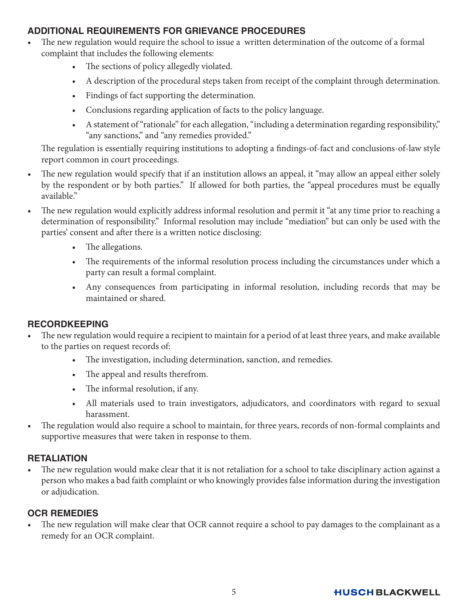#### **ADDITIONAL REQUIREMENTS FOR GRIEVANCE PROCEDURES**

- The new regulation would require the school to issue a written determination of the outcome of a formal complaint that includes the following elements:
	- The sections of policy allegedly violated.
	- A description of the procedural steps taken from receipt of the complaint through determination.
	- Findings of fact supporting the determination.
	- Conclusions regarding application of facts to the policy language.
	- A statement of "rationale" for each allegation, "including a determination regarding responsibility," "any sanctions," and "any remedies provided."

 The regulation is essentially requiring institutions to adopting a findings-of-fact and conclusions-of-law style report common in court proceedings.

- The new regulation would specify that if an institution allows an appeal, it "may allow an appeal either solely by the respondent or by both parties." If allowed for both parties, the "appeal procedures must be equally available."
- The new regulation would explicitly address informal resolution and permit it "at any time prior to reaching a determination of responsibility." Informal resolution may include "mediation" but can only be used with the parties' consent and after there is a written notice disclosing:
	- The allegations.
	- The requirements of the informal resolution process including the circumstances under which a party can result a formal complaint.
	- Any consequences from participating in informal resolution, including records that may be maintained or shared.

#### **RECORDKEEPING**

- The new regulation would require a recipient to maintain for a period of at least three years, and make available to the parties on request records of:
	- The investigation, including determination, sanction, and remedies.
	- The appeal and results therefrom.
	- The informal resolution, if any.
	- All materials used to train investigators, adjudicators, and coordinators with regard to sexual harassment.
- The regulation would also require a school to maintain, for three years, records of non-formal complaints and supportive measures that were taken in response to them.

#### **RETALIATION**

The new regulation would make clear that it is not retaliation for a school to take disciplinary action against a person who makes a bad faith complaint or who knowingly provides false information during the investigation or adjudication.

## **OCR REMEDIES**

The new regulation will make clear that OCR cannot require a school to pay damages to the complainant as a remedy for an OCR complaint.